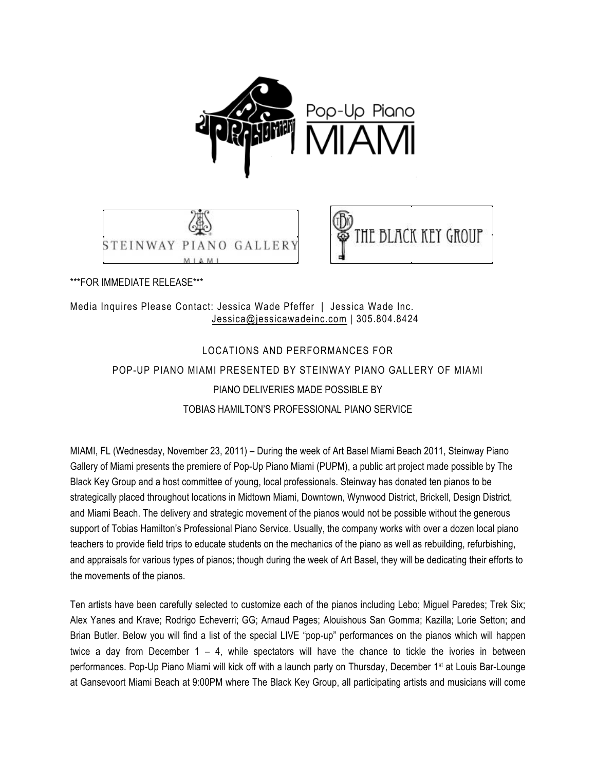





\*\*\*FOR IMMEDIATE RELEASE\*\*\*

# Media Inquires Please Contact: Jessica Wade Pfeffer | Jessica Wade Inc. Jessica@jessicawadeinc.com | 305.804.8424

# LOCATIONS AND PERFORMANCES FOR POP-UP PIANO MIAMI PRESENTED BY STEINWAY PIANO GALLERY OF MIAMI PIANO DELIVERIES MADE POSSIBLE BY TOBIAS HAMILTON'S PROFESSIONAL PIANO SERVICE

MIAMI, FL (Wednesday, November 23, 2011) – During the week of Art Basel Miami Beach 2011, Steinway Piano Gallery of Miami presents the premiere of Pop-Up Piano Miami (PUPM), a public art project made possible by The Black Key Group and a host committee of young, local professionals. Steinway has donated ten pianos to be strategically placed throughout locations in Midtown Miami, Downtown, Wynwood District, Brickell, Design District, and Miami Beach. The delivery and strategic movement of the pianos would not be possible without the generous support of Tobias Hamilton's Professional Piano Service. Usually, the company works with over a dozen local piano teachers to provide field trips to educate students on the mechanics of the piano as well as rebuilding, refurbishing, and appraisals for various types of pianos; though during the week of Art Basel, they will be dedicating their efforts to the movements of the pianos.

Ten artists have been carefully selected to customize each of the pianos including Lebo; Miguel Paredes; Trek Six; Alex Yanes and Krave; Rodrigo Echeverri; GG; Arnaud Pages; Alouishous San Gomma; Kazilla; Lorie Setton; and Brian Butler. Below you will find a list of the special LIVE "pop-up" performances on the pianos which will happen twice a day from December 1 – 4, while spectators will have the chance to tickle the ivories in between performances. Pop-Up Piano Miami will kick off with a launch party on Thursday, December 1st at Louis Bar-Lounge at Gansevoort Miami Beach at 9:00PM where The Black Key Group, all participating artists and musicians will come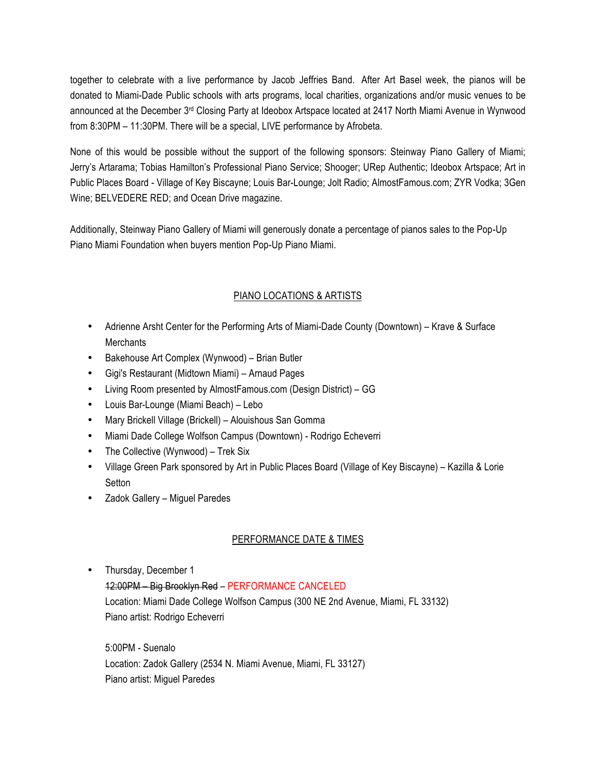together to celebrate with a live performance by Jacob Jeffries Band. After Art Basel week, the pianos will be donated to Miami-Dade Public schools with arts programs, local charities, organizations and/or music venues to be announced at the December 3<sup>rd</sup> Closing Party at Ideobox Artspace located at 2417 North Miami Avenue in Wynwood from 8:30PM – 11:30PM. There will be a special, LIVE performance by Afrobeta.

None of this would be possible without the support of the following sponsors: Steinway Piano Gallery of Miami; Jerry's Artarama; Tobias Hamilton's Professional Piano Service; Shooger; URep Authentic; Ideobox Artspace; Art in Public Places Board - Village of Key Biscayne; Louis Bar-Lounge; Jolt Radio; AlmostFamous.com; ZYR Vodka; 3Gen Wine; BELVEDERE RED; and Ocean Drive magazine.

Additionally, Steinway Piano Gallery of Miami will generously donate a percentage of pianos sales to the Pop-Up Piano Miami Foundation when buyers mention Pop-Up Piano Miami.

# PIANO LOCATIONS & ARTISTS

- Adrienne Arsht Center for the Performing Arts of Miami-Dade County (Downtown) Krave & Surface **Merchants**
- Bakehouse Art Complex (Wynwood) Brian Butler
- Gigi's Restaurant (Midtown Miami) Arnaud Pages
- Living Room presented by AlmostFamous.com (Design District) GG
- Louis Bar-Lounge (Miami Beach) Lebo
- Mary Brickell Village (Brickell) Alouishous San Gomma
- Miami Dade College Wolfson Campus (Downtown) Rodrigo Echeverri
- The Collective (Wynwood) Trek Six
- Village Green Park sponsored by Art in Public Places Board (Village of Key Biscayne) Kazilla & Lorie Setton
- Zadok Gallery Miguel Paredes

# PERFORMANCE DATE & TIMES

• Thursday, December 1 12:00PM – Big Brooklyn Red – PERFORMANCE CANCELED Location: Miami Dade College Wolfson Campus (300 NE 2nd Avenue, Miami, FL 33132) Piano artist: Rodrigo Echeverri

5:00PM - Suenalo Location: Zadok Gallery (2534 N. Miami Avenue, Miami, FL 33127) Piano artist: Miguel Paredes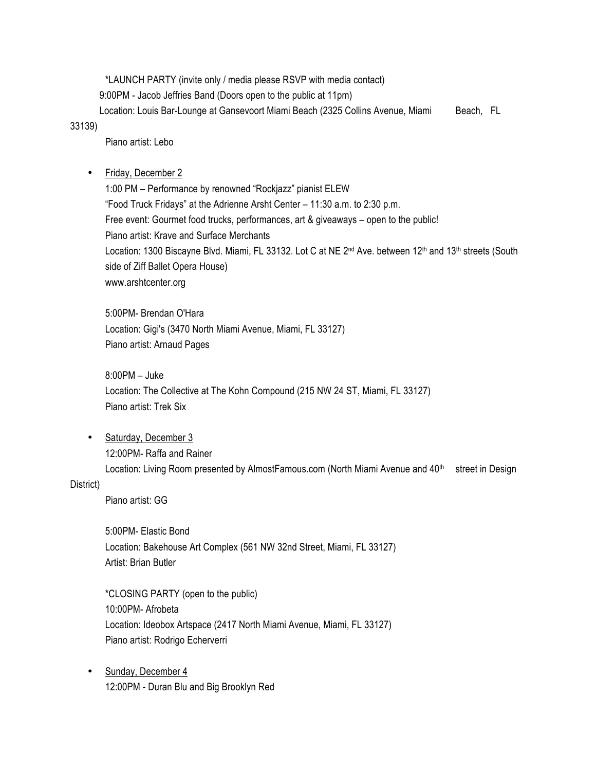\*LAUNCH PARTY (invite only / media please RSVP with media contact) 9:00PM - Jacob Jeffries Band (Doors open to the public at 11pm) Location: Louis Bar-Lounge at Gansevoort Miami Beach (2325 Collins Avenue, Miami Beach, FL

#### 33139)

Piano artist: Lebo

• Friday, December 2

1:00 PM – Performance by renowned "Rockjazz" pianist ELEW "Food Truck Fridays" at the Adrienne Arsht Center – 11:30 a.m. to 2:30 p.m. Free event: Gourmet food trucks, performances, art & giveaways – open to the public! Piano artist: Krave and Surface Merchants Location: 1300 Biscayne Blvd. Miami, FL 33132. Lot C at NE 2<sup>nd</sup> Ave. between 12<sup>th</sup> and 13<sup>th</sup> streets (South side of Ziff Ballet Opera House) www.arshtcenter.org

5:00PM- Brendan O'Hara Location: Gigi's (3470 North Miami Avenue, Miami, FL 33127) Piano artist: Arnaud Pages

8:00PM – Juke Location: The Collective at The Kohn Compound (215 NW 24 ST, Miami, FL 33127) Piano artist: Trek Six

• Saturday, December 3 12:00PM- Raffa and Rainer Location: Living Room presented by AlmostFamous.com (North Miami Avenue and 40<sup>th</sup> street in Design

### District)

Piano artist: GG

5:00PM- Elastic Bond Location: Bakehouse Art Complex (561 NW 32nd Street, Miami, FL 33127) Artist: Brian Butler

\*CLOSING PARTY (open to the public) 10:00PM- Afrobeta Location: Ideobox Artspace (2417 North Miami Avenue, Miami, FL 33127) Piano artist: Rodrigo Echerverri

• Sunday, December 4 12:00PM - Duran Blu and Big Brooklyn Red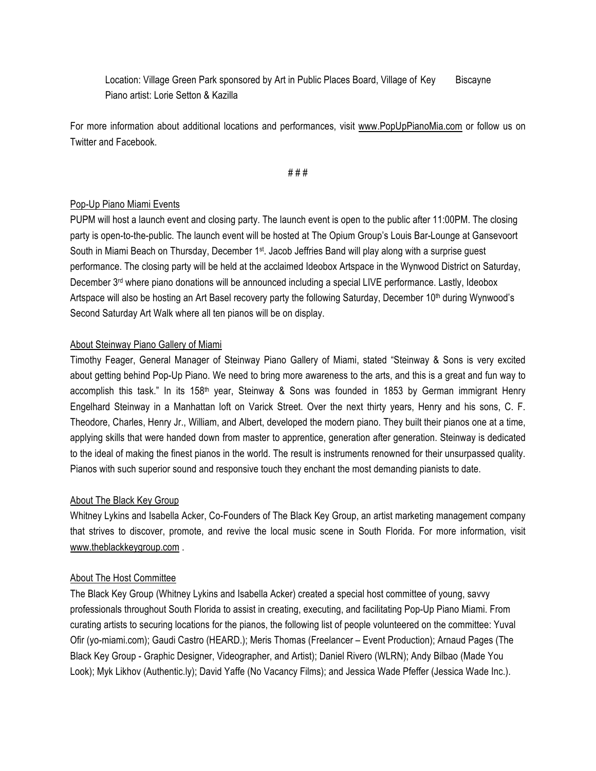Location: Village Green Park sponsored by Art in Public Places Board, Village of Key Biscayne Piano artist: Lorie Setton & Kazilla

For more information about additional locations and performances, visit www.PopUpPianoMia.com or follow us on Twitter and Facebook.

# # #

## Pop-Up Piano Miami Events

PUPM will host a launch event and closing party. The launch event is open to the public after 11:00PM. The closing party is open-to-the-public. The launch event will be hosted at The Opium Group's Louis Bar-Lounge at Gansevoort South in Miami Beach on Thursday, December 1<sup>st</sup>. Jacob Jeffries Band will play along with a surprise guest performance. The closing party will be held at the acclaimed Ideobox Artspace in the Wynwood District on Saturday, December 3rd where piano donations will be announced including a special LIVE performance. Lastly, Ideobox Artspace will also be hosting an Art Basel recovery party the following Saturday, December 10<sup>th</sup> during Wynwood's Second Saturday Art Walk where all ten pianos will be on display.

## About Steinway Piano Gallery of Miami

Timothy Feager, General Manager of Steinway Piano Gallery of Miami, stated "Steinway & Sons is very excited about getting behind Pop-Up Piano. We need to bring more awareness to the arts, and this is a great and fun way to accomplish this task." In its 158<sup>th</sup> year, Steinway & Sons was founded in 1853 by German immigrant Henry Engelhard Steinway in a Manhattan loft on Varick Street. Over the next thirty years, Henry and his sons, C. F. Theodore, Charles, Henry Jr., William, and Albert, developed the modern piano. They built their pianos one at a time, applying skills that were handed down from master to apprentice, generation after generation. Steinway is dedicated to the ideal of making the finest pianos in the world. The result is instruments renowned for their unsurpassed quality. Pianos with such superior sound and responsive touch they enchant the most demanding pianists to date.

### About The Black Key Group

Whitney Lykins and Isabella Acker, Co-Founders of The Black Key Group, an artist marketing management company that strives to discover, promote, and revive the local music scene in South Florida. For more information, visit www.theblackkeygroup.com .

### About The Host Committee

The Black Key Group (Whitney Lykins and Isabella Acker) created a special host committee of young, savvy professionals throughout South Florida to assist in creating, executing, and facilitating Pop-Up Piano Miami. From curating artists to securing locations for the pianos, the following list of people volunteered on the committee: Yuval Ofir (yo-miami.com); Gaudi Castro (HEARD.); Meris Thomas (Freelancer – Event Production); Arnaud Pages (The Black Key Group - Graphic Designer, Videographer, and Artist); Daniel Rivero (WLRN); Andy Bilbao (Made You Look); Myk Likhov (Authentic.ly); David Yaffe (No Vacancy Films); and Jessica Wade Pfeffer (Jessica Wade Inc.).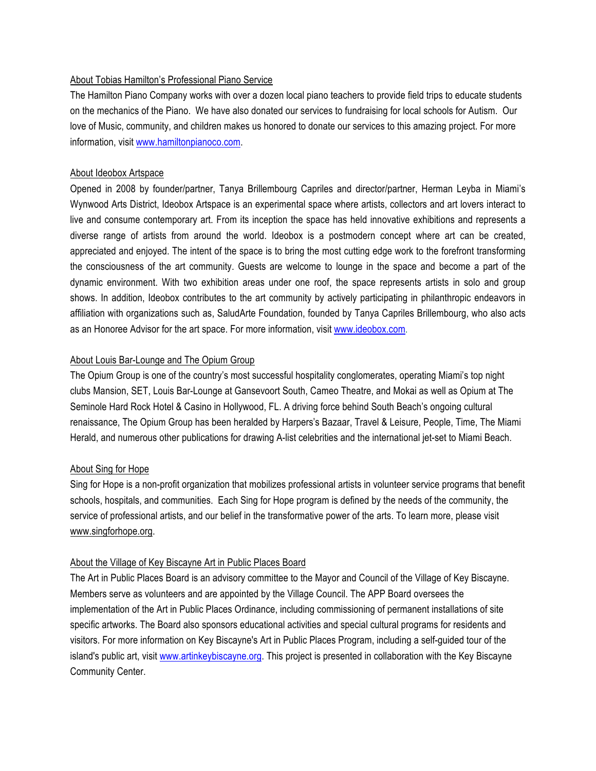## About Tobias Hamilton's Professional Piano Service

The Hamilton Piano Company works with over a dozen local piano teachers to provide field trips to educate students on the mechanics of the Piano. We have also donated our services to fundraising for local schools for Autism. Our love of Music, community, and children makes us honored to donate our services to this amazing project. For more information, visit www.hamiltonpianoco.com.

## About Ideobox Artspace

Opened in 2008 by founder/partner, Tanya Brillembourg Capriles and director/partner, Herman Leyba in Miami's Wynwood Arts District, Ideobox Artspace is an experimental space where artists, collectors and art lovers interact to live and consume contemporary art. From its inception the space has held innovative exhibitions and represents a diverse range of artists from around the world. Ideobox is a postmodern concept where art can be created, appreciated and enjoyed. The intent of the space is to bring the most cutting edge work to the forefront transforming the consciousness of the art community. Guests are welcome to lounge in the space and become a part of the dynamic environment. With two exhibition areas under one roof, the space represents artists in solo and group shows. In addition, Ideobox contributes to the art community by actively participating in philanthropic endeavors in affiliation with organizations such as, SaludArte Foundation, founded by Tanya Capriles Brillembourg, who also acts as an Honoree Advisor for the art space. For more information, visit www.ideobox.com.

## About Louis Bar-Lounge and The Opium Group

The Opium Group is one of the country's most successful hospitality conglomerates, operating Miami's top night clubs Mansion, SET, Louis Bar-Lounge at Gansevoort South, Cameo Theatre, and Mokai as well as Opium at The Seminole Hard Rock Hotel & Casino in Hollywood, FL. A driving force behind South Beach's ongoing cultural renaissance, The Opium Group has been heralded by Harpers's Bazaar, Travel & Leisure, People, Time, The Miami Herald, and numerous other publications for drawing A-list celebrities and the international jet-set to Miami Beach.

# About Sing for Hope

Sing for Hope is a non-profit organization that mobilizes professional artists in volunteer service programs that benefit schools, hospitals, and communities. Each Sing for Hope program is defined by the needs of the community, the service of professional artists, and our belief in the transformative power of the arts. To learn more, please visit www.singforhope.org.

# About the Village of Key Biscayne Art in Public Places Board

The Art in Public Places Board is an advisory committee to the Mayor and Council of the Village of Key Biscayne. Members serve as volunteers and are appointed by the Village Council. The APP Board oversees the implementation of the Art in Public Places Ordinance, including commissioning of permanent installations of site specific artworks. The Board also sponsors educational activities and special cultural programs for residents and visitors. For more information on Key Biscayne's Art in Public Places Program, including a self-guided tour of the island's public art, visit www.artinkeybiscayne.org. This project is presented in collaboration with the Key Biscayne Community Center.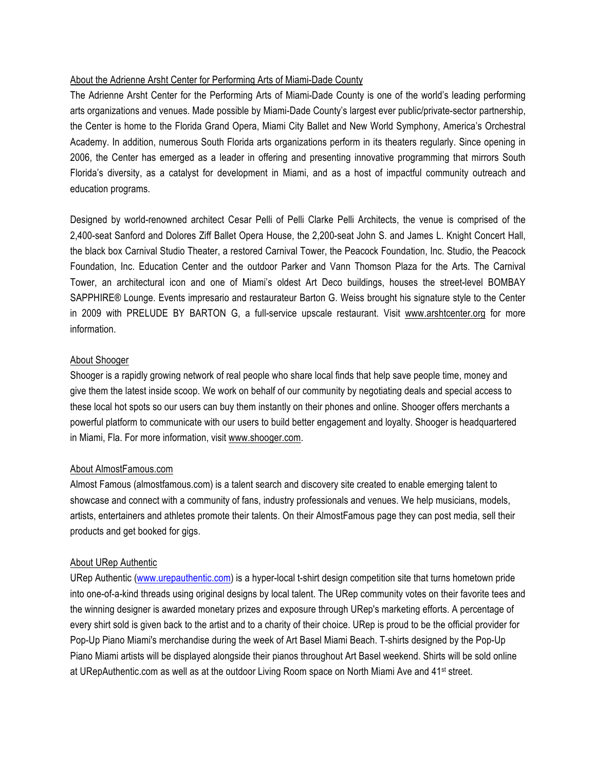## About the Adrienne Arsht Center for Performing Arts of Miami-Dade County

The Adrienne Arsht Center for the Performing Arts of Miami-Dade County is one of the world's leading performing arts organizations and venues. Made possible by Miami-Dade County's largest ever public/private-sector partnership, the Center is home to the Florida Grand Opera, Miami City Ballet and New World Symphony, America's Orchestral Academy. In addition, numerous South Florida arts organizations perform in its theaters regularly. Since opening in 2006, the Center has emerged as a leader in offering and presenting innovative programming that mirrors South Florida's diversity, as a catalyst for development in Miami, and as a host of impactful community outreach and education programs.

Designed by world-renowned architect Cesar Pelli of Pelli Clarke Pelli Architects, the venue is comprised of the 2,400-seat Sanford and Dolores Ziff Ballet Opera House, the 2,200-seat John S. and James L. Knight Concert Hall, the black box Carnival Studio Theater, a restored Carnival Tower, the Peacock Foundation, Inc. Studio, the Peacock Foundation, Inc. Education Center and the outdoor Parker and Vann Thomson Plaza for the Arts. The Carnival Tower, an architectural icon and one of Miami's oldest Art Deco buildings, houses the street-level BOMBAY SAPPHIRE® Lounge. Events impresario and restaurateur Barton G. Weiss brought his signature style to the Center in 2009 with PRELUDE BY BARTON G, a full-service upscale restaurant. Visit www.arshtcenter.org for more information.

## About Shooger

Shooger is a rapidly growing network of real people who share local finds that help save people time, money and give them the latest inside scoop. We work on behalf of our community by negotiating deals and special access to these local hot spots so our users can buy them instantly on their phones and online. Shooger offers merchants a powerful platform to communicate with our users to build better engagement and loyalty. Shooger is headquartered in Miami, Fla. For more information, visit www.shooger.com.

### About AlmostFamous.com

Almost Famous (almostfamous.com) is a talent search and discovery site created to enable emerging talent to showcase and connect with a community of fans, industry professionals and venues. We help musicians, models, artists, entertainers and athletes promote their talents. On their AlmostFamous page they can post media, sell their products and get booked for gigs.

# About URep Authentic

URep Authentic (www.urepauthentic.com) is a hyper-local t-shirt design competition site that turns hometown pride into one-of-a-kind threads using original designs by local talent. The URep community votes on their favorite tees and the winning designer is awarded monetary prizes and exposure through URep's marketing efforts. A percentage of every shirt sold is given back to the artist and to a charity of their choice. URep is proud to be the official provider for Pop-Up Piano Miami's merchandise during the week of Art Basel Miami Beach. T-shirts designed by the Pop-Up Piano Miami artists will be displayed alongside their pianos throughout Art Basel weekend. Shirts will be sold online at URepAuthentic.com as well as at the outdoor Living Room space on North Miami Ave and 41<sup>st</sup> street.